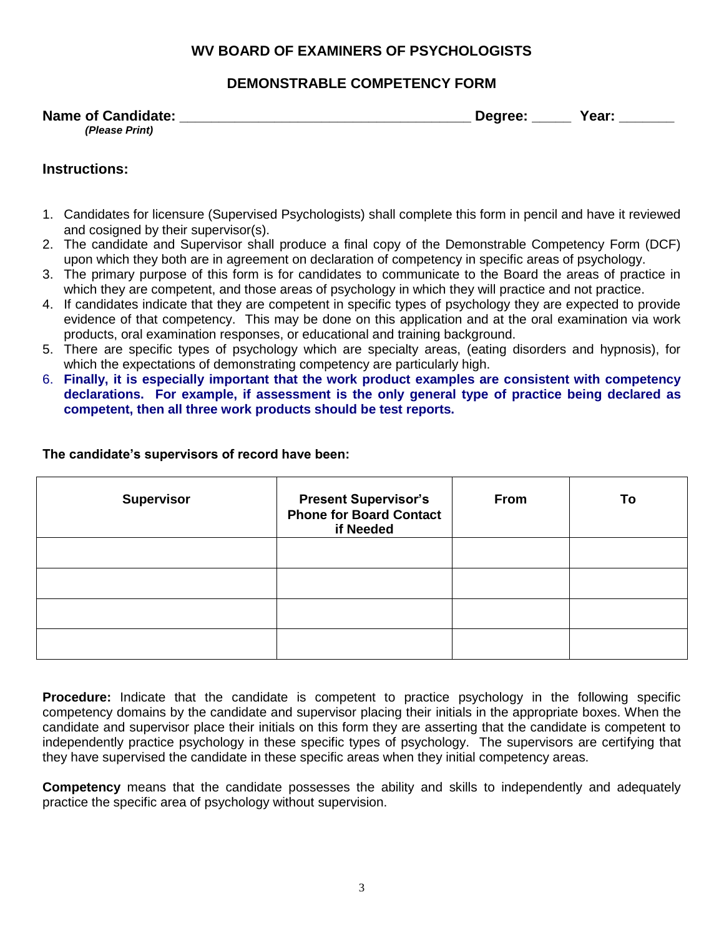## **WV BOARD OF EXAMINERS OF PSYCHOLOGISTS**

### **DEMONSTRABLE COMPETENCY FORM**

#### **Name of Candidate: \_\_\_\_\_\_\_\_\_\_\_\_\_\_\_\_\_\_\_\_\_\_\_\_\_\_\_\_\_\_\_\_\_\_\_\_\_ Degree: \_\_\_\_\_ Year: \_\_\_\_\_\_\_** *(Please Print)*

#### **Instructions:**

- 1. Candidates for licensure (Supervised Psychologists) shall complete this form in pencil and have it reviewed and cosigned by their supervisor(s).
- 2. The candidate and Supervisor shall produce a final copy of the Demonstrable Competency Form (DCF) upon which they both are in agreement on declaration of competency in specific areas of psychology.
- 3. The primary purpose of this form is for candidates to communicate to the Board the areas of practice in which they are competent, and those areas of psychology in which they will practice and not practice.
- 4. If candidates indicate that they are competent in specific types of psychology they are expected to provide evidence of that competency. This may be done on this application and at the oral examination via work products, oral examination responses, or educational and training background.
- 5. There are specific types of psychology which are specialty areas, (eating disorders and hypnosis), for which the expectations of demonstrating competency are particularly high.
- 6. **Finally, it is especially important that the work product examples are consistent with competency declarations. For example, if assessment is the only general type of practice being declared as competent, then all three work products should be test reports.**

| <b>Supervisor</b> | <b>Present Supervisor's</b><br><b>Phone for Board Contact</b><br>if Needed | From | To |
|-------------------|----------------------------------------------------------------------------|------|----|
|                   |                                                                            |      |    |
|                   |                                                                            |      |    |
|                   |                                                                            |      |    |
|                   |                                                                            |      |    |

#### **The candidate's supervisors of record have been:**

**Procedure:** Indicate that the candidate is competent to practice psychology in the following specific competency domains by the candidate and supervisor placing their initials in the appropriate boxes. When the candidate and supervisor place their initials on this form they are asserting that the candidate is competent to independently practice psychology in these specific types of psychology. The supervisors are certifying that they have supervised the candidate in these specific areas when they initial competency areas.

**Competency** means that the candidate possesses the ability and skills to independently and adequately practice the specific area of psychology without supervision.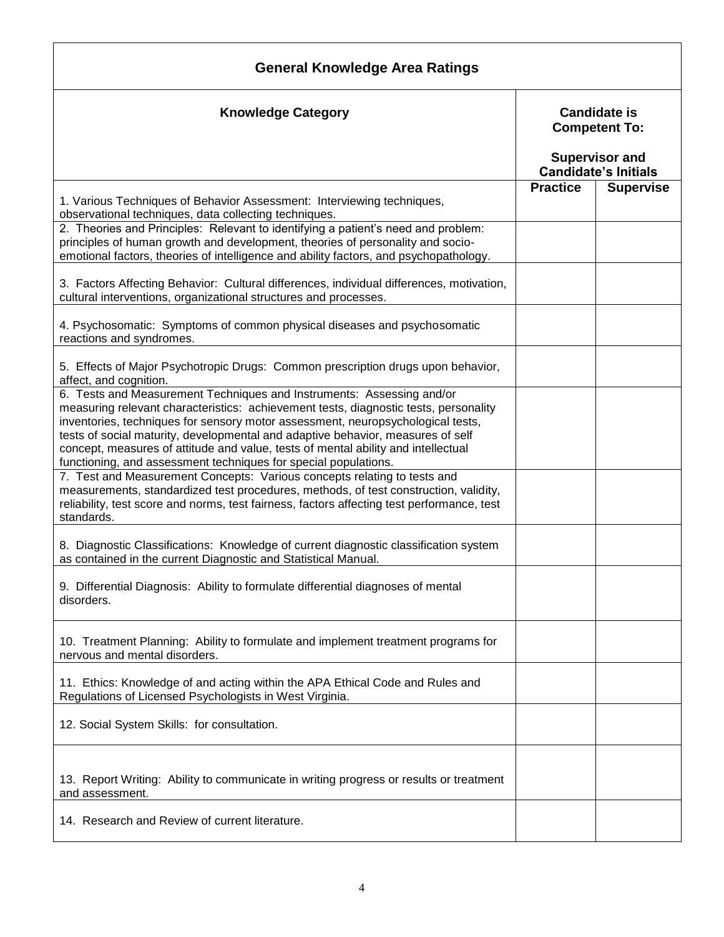| <b>General Knowledge Area Ratings</b>                                                                                                                                                                                                                                                                                                                                                                                                                                                       |                 |                                                                                                     |  |  |
|---------------------------------------------------------------------------------------------------------------------------------------------------------------------------------------------------------------------------------------------------------------------------------------------------------------------------------------------------------------------------------------------------------------------------------------------------------------------------------------------|-----------------|-----------------------------------------------------------------------------------------------------|--|--|
| <b>Knowledge Category</b>                                                                                                                                                                                                                                                                                                                                                                                                                                                                   |                 | <b>Candidate is</b><br><b>Competent To:</b><br><b>Supervisor and</b><br><b>Candidate's Initials</b> |  |  |
|                                                                                                                                                                                                                                                                                                                                                                                                                                                                                             |                 |                                                                                                     |  |  |
| 1. Various Techniques of Behavior Assessment: Interviewing techniques,<br>observational techniques, data collecting techniques.                                                                                                                                                                                                                                                                                                                                                             | <b>Practice</b> | <b>Supervise</b>                                                                                    |  |  |
| 2. Theories and Principles: Relevant to identifying a patient's need and problem:<br>principles of human growth and development, theories of personality and socio-<br>emotional factors, theories of intelligence and ability factors, and psychopathology.                                                                                                                                                                                                                                |                 |                                                                                                     |  |  |
| 3. Factors Affecting Behavior: Cultural differences, individual differences, motivation,<br>cultural interventions, organizational structures and processes.                                                                                                                                                                                                                                                                                                                                |                 |                                                                                                     |  |  |
| 4. Psychosomatic: Symptoms of common physical diseases and psychosomatic<br>reactions and syndromes.                                                                                                                                                                                                                                                                                                                                                                                        |                 |                                                                                                     |  |  |
| 5. Effects of Major Psychotropic Drugs: Common prescription drugs upon behavior,<br>affect, and cognition.                                                                                                                                                                                                                                                                                                                                                                                  |                 |                                                                                                     |  |  |
| 6. Tests and Measurement Techniques and Instruments: Assessing and/or<br>measuring relevant characteristics: achievement tests, diagnostic tests, personality<br>inventories, techniques for sensory motor assessment, neuropsychological tests,<br>tests of social maturity, developmental and adaptive behavior, measures of self<br>concept, measures of attitude and value, tests of mental ability and intellectual<br>functioning, and assessment techniques for special populations. |                 |                                                                                                     |  |  |
| 7. Test and Measurement Concepts: Various concepts relating to tests and<br>measurements, standardized test procedures, methods, of test construction, validity,<br>reliability, test score and norms, test fairness, factors affecting test performance, test<br>standards.                                                                                                                                                                                                                |                 |                                                                                                     |  |  |
| 8. Diagnostic Classifications: Knowledge of current diagnostic classification system<br>as contained in the current Diagnostic and Statistical Manual.                                                                                                                                                                                                                                                                                                                                      |                 |                                                                                                     |  |  |
| 9. Differential Diagnosis: Ability to formulate differential diagnoses of mental<br>disorders.                                                                                                                                                                                                                                                                                                                                                                                              |                 |                                                                                                     |  |  |
| 10. Treatment Planning: Ability to formulate and implement treatment programs for<br>nervous and mental disorders.                                                                                                                                                                                                                                                                                                                                                                          |                 |                                                                                                     |  |  |
| 11. Ethics: Knowledge of and acting within the APA Ethical Code and Rules and<br>Regulations of Licensed Psychologists in West Virginia.                                                                                                                                                                                                                                                                                                                                                    |                 |                                                                                                     |  |  |
| 12. Social System Skills: for consultation.                                                                                                                                                                                                                                                                                                                                                                                                                                                 |                 |                                                                                                     |  |  |
| 13. Report Writing: Ability to communicate in writing progress or results or treatment<br>and assessment.                                                                                                                                                                                                                                                                                                                                                                                   |                 |                                                                                                     |  |  |
| 14. Research and Review of current literature.                                                                                                                                                                                                                                                                                                                                                                                                                                              |                 |                                                                                                     |  |  |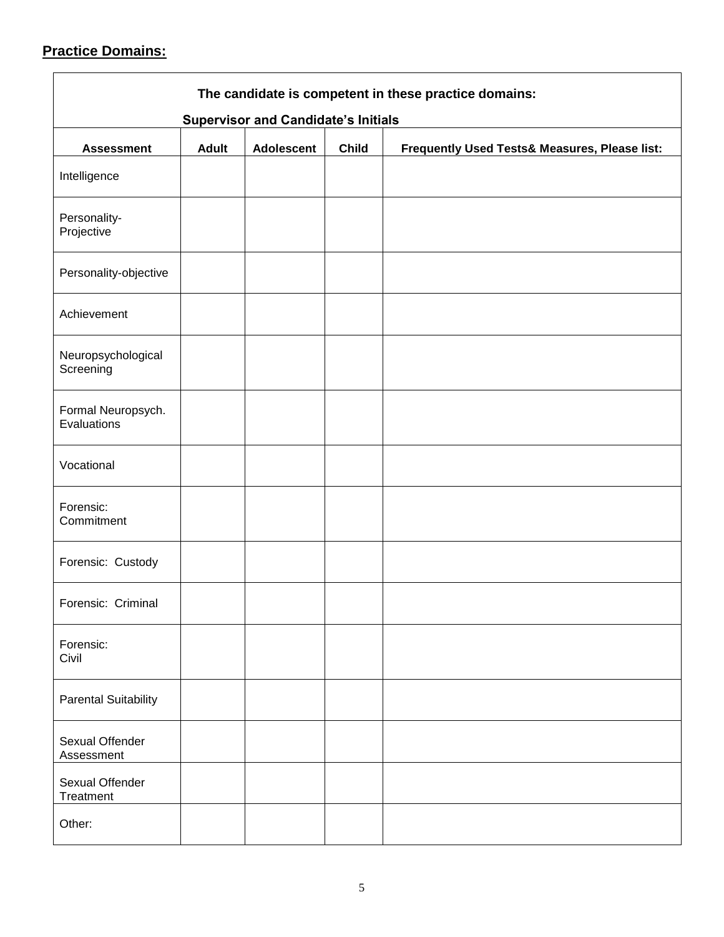# **Practice Domains:**

| The candidate is competent in these practice domains:<br><b>Supervisor and Candidate's Initials</b> |              |                   |              |                                               |
|-----------------------------------------------------------------------------------------------------|--------------|-------------------|--------------|-----------------------------------------------|
| <b>Assessment</b>                                                                                   | <b>Adult</b> | <b>Adolescent</b> | <b>Child</b> | Frequently Used Tests& Measures, Please list: |
| Intelligence                                                                                        |              |                   |              |                                               |
| Personality-<br>Projective                                                                          |              |                   |              |                                               |
| Personality-objective                                                                               |              |                   |              |                                               |
| Achievement                                                                                         |              |                   |              |                                               |
| Neuropsychological<br>Screening                                                                     |              |                   |              |                                               |
| Formal Neuropsych.<br>Evaluations                                                                   |              |                   |              |                                               |
| Vocational                                                                                          |              |                   |              |                                               |
| Forensic:<br>Commitment                                                                             |              |                   |              |                                               |
| Forensic: Custody                                                                                   |              |                   |              |                                               |
| Forensic: Criminal                                                                                  |              |                   |              |                                               |
| Forensic:<br>Civil                                                                                  |              |                   |              |                                               |
| <b>Parental Suitability</b>                                                                         |              |                   |              |                                               |
| Sexual Offender<br>Assessment                                                                       |              |                   |              |                                               |
| Sexual Offender<br>Treatment                                                                        |              |                   |              |                                               |
| Other:                                                                                              |              |                   |              |                                               |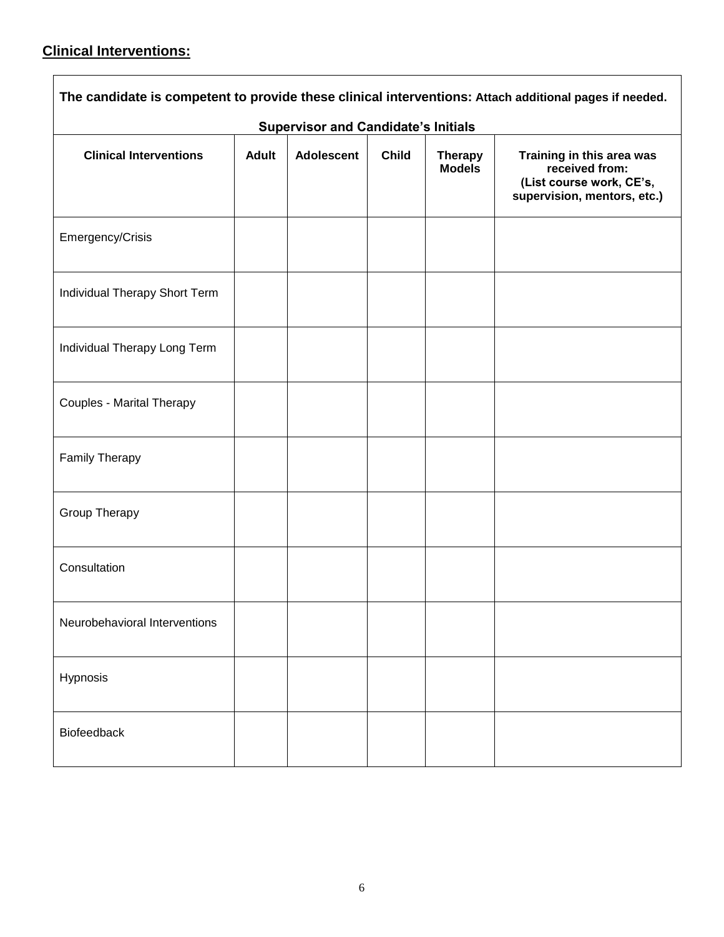# **Clinical Interventions:**

|                                  |              | <b>Supervisor and Candidate's Initials</b> |              |                                 | The candidate is competent to provide these clinical interventions: Attach additional pages if needed. |
|----------------------------------|--------------|--------------------------------------------|--------------|---------------------------------|--------------------------------------------------------------------------------------------------------|
| <b>Clinical Interventions</b>    | <b>Adult</b> | <b>Adolescent</b>                          | <b>Child</b> | <b>Therapy</b><br><b>Models</b> | Training in this area was<br>received from:<br>(List course work, CE's,<br>supervision, mentors, etc.) |
| Emergency/Crisis                 |              |                                            |              |                                 |                                                                                                        |
| Individual Therapy Short Term    |              |                                            |              |                                 |                                                                                                        |
| Individual Therapy Long Term     |              |                                            |              |                                 |                                                                                                        |
| <b>Couples - Marital Therapy</b> |              |                                            |              |                                 |                                                                                                        |
| Family Therapy                   |              |                                            |              |                                 |                                                                                                        |
| Group Therapy                    |              |                                            |              |                                 |                                                                                                        |
| Consultation                     |              |                                            |              |                                 |                                                                                                        |
| Neurobehavioral Interventions    |              |                                            |              |                                 |                                                                                                        |
| Hypnosis                         |              |                                            |              |                                 |                                                                                                        |
| Biofeedback                      |              |                                            |              |                                 |                                                                                                        |

٦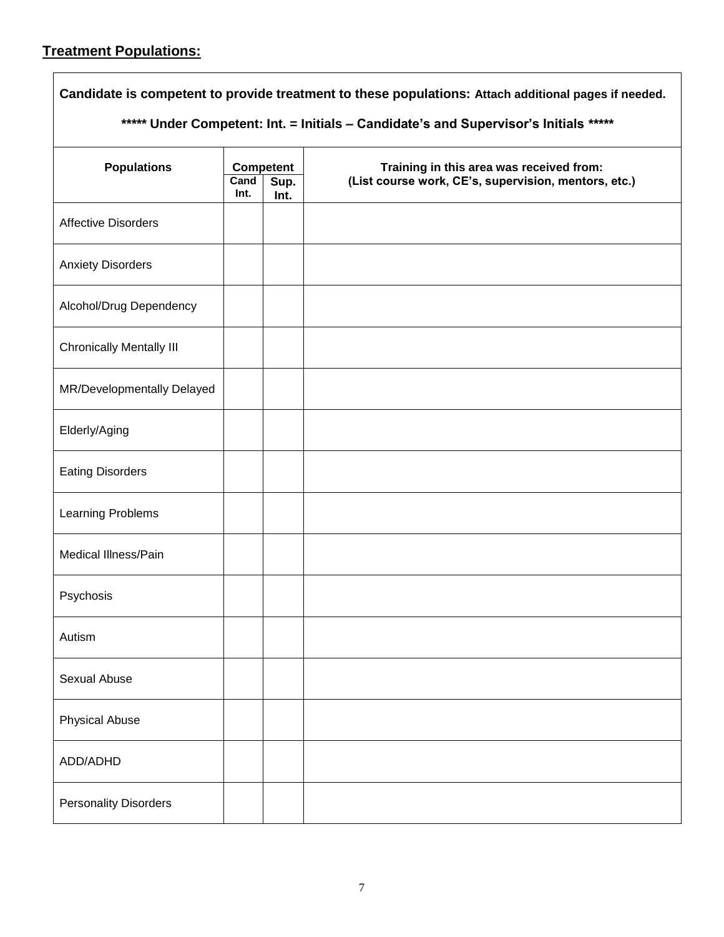### **Treatment Populations:**

**Candidate is competent to provide treatment to these populations: Attach additional pages if needed.** *\*\*\*\*\** **Under Competent: Int. = Initials – Candidate's and Supervisor's Initials** *\*\*\*\*\** **Populations Competent Competent Competent Cand 1 Sup.** (List course work, CE's, supervision, mentors. **Cand (List course work, CE's, supervision, mentors, etc.) Int. Sup. Int.** Affective Disorders Anxiety Disorders Alcohol/Drug Dependency Chronically Mentally III MR/Developmentally Delayed Elderly/Aging Eating Disorders Learning Problems Medical Illness/Pain Psychosis Autism Sexual Abuse Physical Abuse ADD/ADHD Personality Disorders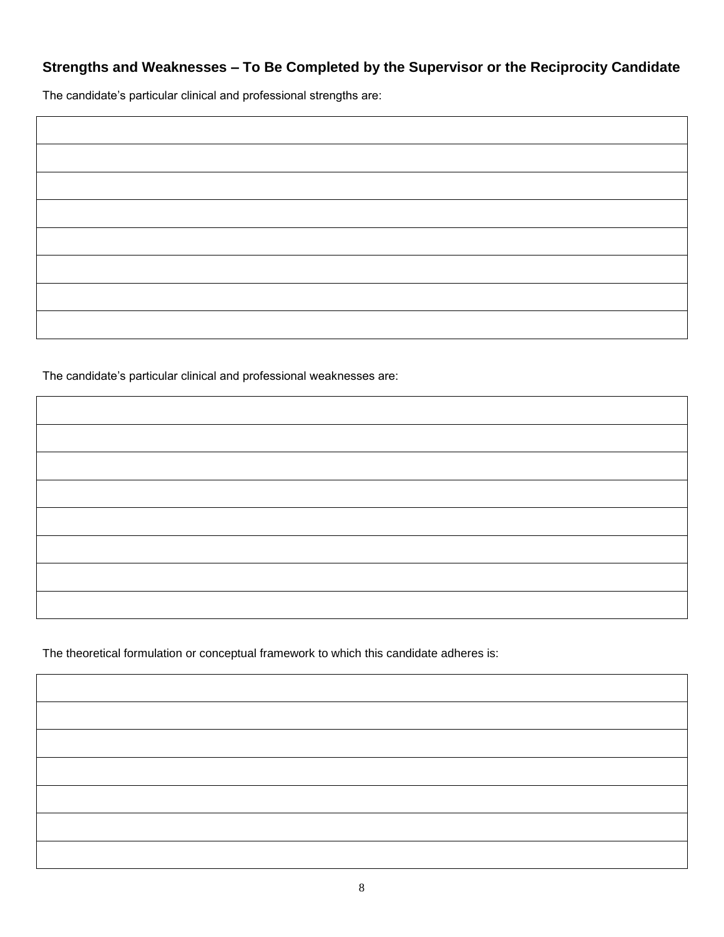# **Strengths and Weaknesses – To Be Completed by the Supervisor or the Reciprocity Candidate**

The candidate's particular clinical and professional strengths are:

| the contract of the contract of the contract of |  |
|-------------------------------------------------|--|
|                                                 |  |
|                                                 |  |
|                                                 |  |
|                                                 |  |
|                                                 |  |

The candidate's particular clinical and professional weaknesses are:

The theoretical formulation or conceptual framework to which this candidate adheres is:

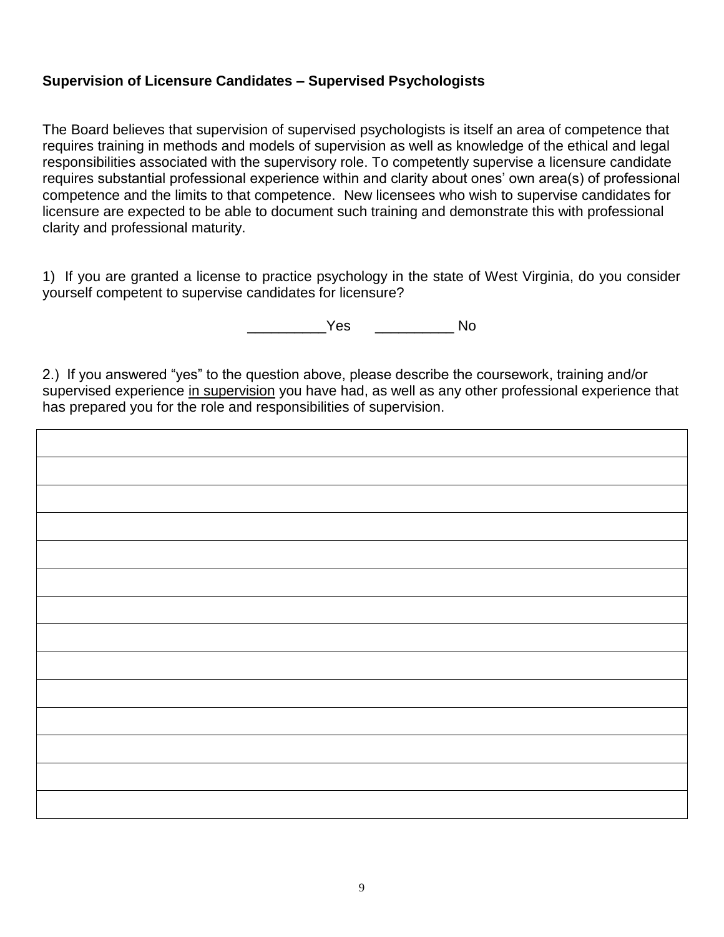## **Supervision of Licensure Candidates – Supervised Psychologists**

The Board believes that supervision of supervised psychologists is itself an area of competence that requires training in methods and models of supervision as well as knowledge of the ethical and legal responsibilities associated with the supervisory role. To competently supervise a licensure candidate requires substantial professional experience within and clarity about ones' own area(s) of professional competence and the limits to that competence. New licensees who wish to supervise candidates for licensure are expected to be able to document such training and demonstrate this with professional clarity and professional maturity.

1) If you are granted a license to practice psychology in the state of West Virginia, do you consider yourself competent to supervise candidates for licensure?

\_\_\_\_\_\_\_\_\_\_Yes \_\_\_\_\_\_\_\_\_\_ No

2.) If you answered "yes" to the question above, please describe the coursework, training and/or supervised experience in supervision you have had, as well as any other professional experience that has prepared you for the role and responsibilities of supervision.